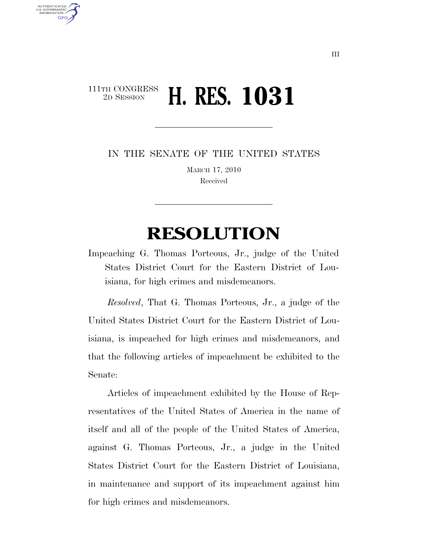## 111TH CONGRESS <sup>2D SESSION</sup> **H. RES. 1031**

AUTHENTICATED<br>U.S. GOVERNMENT<br>INFORMATION **GPO** 

IN THE SENATE OF THE UNITED STATES

MARCH 17, 2010 Received

# **RESOLUTION**

Impeaching G. Thomas Porteous, Jr., judge of the United States District Court for the Eastern District of Louisiana, for high crimes and misdemeanors.

*Resolved*, That G. Thomas Porteous, Jr., a judge of the United States District Court for the Eastern District of Louisiana, is impeached for high crimes and misdemeanors, and that the following articles of impeachment be exhibited to the Senate:

Articles of impeachment exhibited by the House of Representatives of the United States of America in the name of itself and all of the people of the United States of America, against G. Thomas Porteous, Jr., a judge in the United States District Court for the Eastern District of Louisiana, in maintenance and support of its impeachment against him for high crimes and misdemeanors.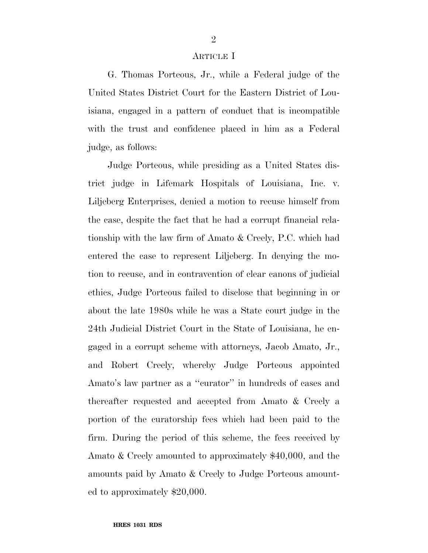#### ARTICLE I

G. Thomas Porteous, Jr., while a Federal judge of the United States District Court for the Eastern District of Louisiana, engaged in a pattern of conduct that is incompatible with the trust and confidence placed in him as a Federal judge, as follows:

Judge Porteous, while presiding as a United States district judge in Lifemark Hospitals of Louisiana, Inc. v. Liljeberg Enterprises, denied a motion to recuse himself from the case, despite the fact that he had a corrupt financial relationship with the law firm of Amato & Creely, P.C. which had entered the case to represent Liljeberg. In denying the motion to recuse, and in contravention of clear canons of judicial ethics, Judge Porteous failed to disclose that beginning in or about the late 1980s while he was a State court judge in the 24th Judicial District Court in the State of Louisiana, he engaged in a corrupt scheme with attorneys, Jacob Amato, Jr., and Robert Creely, whereby Judge Porteous appointed Amato's law partner as a ''curator'' in hundreds of cases and thereafter requested and accepted from Amato & Creely a portion of the curatorship fees which had been paid to the firm. During the period of this scheme, the fees received by Amato & Creely amounted to approximately \$40,000, and the amounts paid by Amato & Creely to Judge Porteous amounted to approximately \$20,000.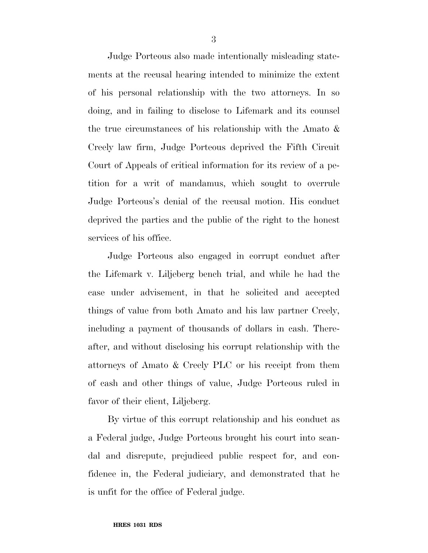Judge Porteous also made intentionally misleading statements at the recusal hearing intended to minimize the extent of his personal relationship with the two attorneys. In so doing, and in failing to disclose to Lifemark and its counsel the true circumstances of his relationship with the Amato & Creely law firm, Judge Porteous deprived the Fifth Circuit Court of Appeals of critical information for its review of a petition for a writ of mandamus, which sought to overrule Judge Porteous's denial of the recusal motion. His conduct deprived the parties and the public of the right to the honest services of his office.

Judge Porteous also engaged in corrupt conduct after the Lifemark v. Liljeberg bench trial, and while he had the case under advisement, in that he solicited and accepted things of value from both Amato and his law partner Creely, including a payment of thousands of dollars in cash. Thereafter, and without disclosing his corrupt relationship with the attorneys of Amato & Creely PLC or his receipt from them of cash and other things of value, Judge Porteous ruled in favor of their client, Liljeberg.

By virtue of this corrupt relationship and his conduct as a Federal judge, Judge Porteous brought his court into scandal and disrepute, prejudiced public respect for, and confidence in, the Federal judiciary, and demonstrated that he is unfit for the office of Federal judge.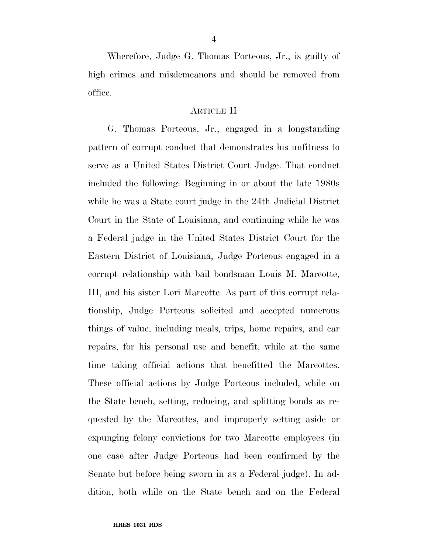Wherefore, Judge G. Thomas Porteous, Jr., is guilty of high crimes and misdemeanors and should be removed from office.

#### ARTICLE II

G. Thomas Porteous, Jr., engaged in a longstanding pattern of corrupt conduct that demonstrates his unfitness to serve as a United States District Court Judge. That conduct included the following: Beginning in or about the late 1980s while he was a State court judge in the 24th Judicial District Court in the State of Louisiana, and continuing while he was a Federal judge in the United States District Court for the Eastern District of Louisiana, Judge Porteous engaged in a corrupt relationship with bail bondsman Louis M. Marcotte, III, and his sister Lori Marcotte. As part of this corrupt relationship, Judge Porteous solicited and accepted numerous things of value, including meals, trips, home repairs, and car repairs, for his personal use and benefit, while at the same time taking official actions that benefitted the Marcottes. These official actions by Judge Porteous included, while on the State bench, setting, reducing, and splitting bonds as requested by the Marcottes, and improperly setting aside or expunging felony convictions for two Marcotte employees (in one case after Judge Porteous had been confirmed by the Senate but before being sworn in as a Federal judge). In addition, both while on the State bench and on the Federal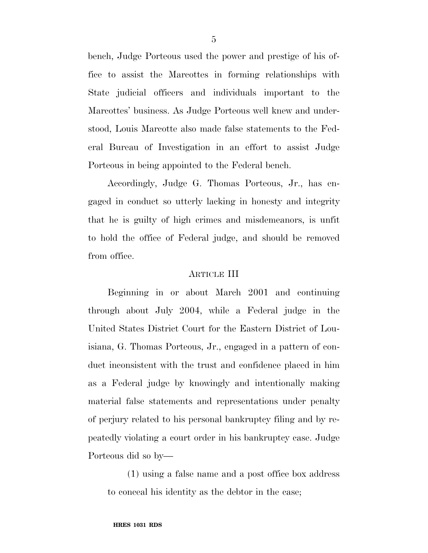bench, Judge Porteous used the power and prestige of his office to assist the Marcottes in forming relationships with State judicial officers and individuals important to the Marcottes' business. As Judge Porteous well knew and understood, Louis Marcotte also made false statements to the Federal Bureau of Investigation in an effort to assist Judge Porteous in being appointed to the Federal bench.

Accordingly, Judge G. Thomas Porteous, Jr., has engaged in conduct so utterly lacking in honesty and integrity that he is guilty of high crimes and misdemeanors, is unfit to hold the office of Federal judge, and should be removed from office.

### ARTICLE III

Beginning in or about March 2001 and continuing through about July 2004, while a Federal judge in the United States District Court for the Eastern District of Louisiana, G. Thomas Porteous, Jr., engaged in a pattern of conduct inconsistent with the trust and confidence placed in him as a Federal judge by knowingly and intentionally making material false statements and representations under penalty of perjury related to his personal bankruptcy filing and by repeatedly violating a court order in his bankruptcy case. Judge Porteous did so by—

(1) using a false name and a post office box address to conceal his identity as the debtor in the case;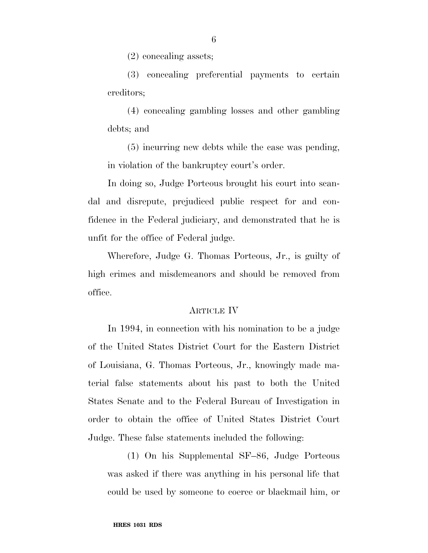(2) concealing assets;

(3) concealing preferential payments to certain creditors;

(4) concealing gambling losses and other gambling debts; and

(5) incurring new debts while the case was pending, in violation of the bankruptcy court's order.

In doing so, Judge Porteous brought his court into scandal and disrepute, prejudiced public respect for and confidence in the Federal judiciary, and demonstrated that he is unfit for the office of Federal judge.

Wherefore, Judge G. Thomas Porteous, Jr., is guilty of high crimes and misdemeanors and should be removed from office.

#### ARTICLE IV

In 1994, in connection with his nomination to be a judge of the United States District Court for the Eastern District of Louisiana, G. Thomas Porteous, Jr., knowingly made material false statements about his past to both the United States Senate and to the Federal Bureau of Investigation in order to obtain the office of United States District Court Judge. These false statements included the following:

(1) On his Supplemental SF–86, Judge Porteous was asked if there was anything in his personal life that could be used by someone to coerce or blackmail him, or

6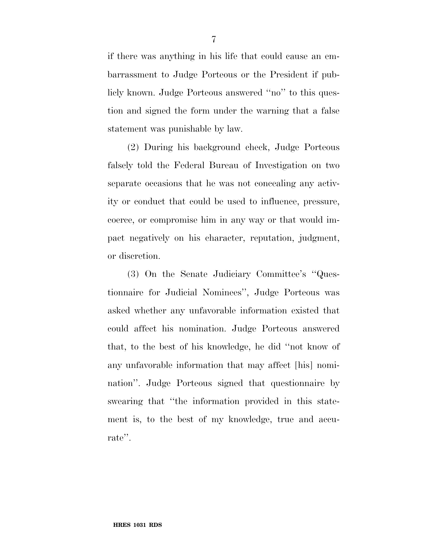if there was anything in his life that could cause an embarrassment to Judge Porteous or the President if publicly known. Judge Porteous answered ''no'' to this question and signed the form under the warning that a false statement was punishable by law.

(2) During his background check, Judge Porteous falsely told the Federal Bureau of Investigation on two separate occasions that he was not concealing any activity or conduct that could be used to influence, pressure, coerce, or compromise him in any way or that would impact negatively on his character, reputation, judgment, or discretion.

(3) On the Senate Judiciary Committee's ''Questionnaire for Judicial Nominees'', Judge Porteous was asked whether any unfavorable information existed that could affect his nomination. Judge Porteous answered that, to the best of his knowledge, he did ''not know of any unfavorable information that may affect [his] nomination''. Judge Porteous signed that questionnaire by swearing that ''the information provided in this statement is, to the best of my knowledge, true and accurate''.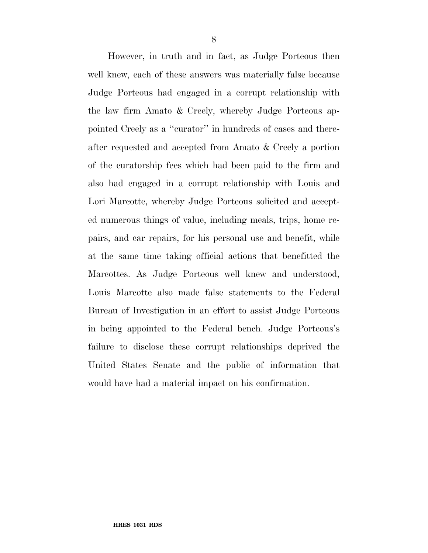However, in truth and in fact, as Judge Porteous then well knew, each of these answers was materially false because Judge Porteous had engaged in a corrupt relationship with the law firm Amato & Creely, whereby Judge Porteous appointed Creely as a ''curator'' in hundreds of cases and thereafter requested and accepted from Amato & Creely a portion of the curatorship fees which had been paid to the firm and also had engaged in a corrupt relationship with Louis and Lori Marcotte, whereby Judge Porteous solicited and accepted numerous things of value, including meals, trips, home repairs, and car repairs, for his personal use and benefit, while at the same time taking official actions that benefitted the Marcottes. As Judge Porteous well knew and understood, Louis Marcotte also made false statements to the Federal Bureau of Investigation in an effort to assist Judge Porteous in being appointed to the Federal bench. Judge Porteous's failure to disclose these corrupt relationships deprived the United States Senate and the public of information that would have had a material impact on his confirmation.